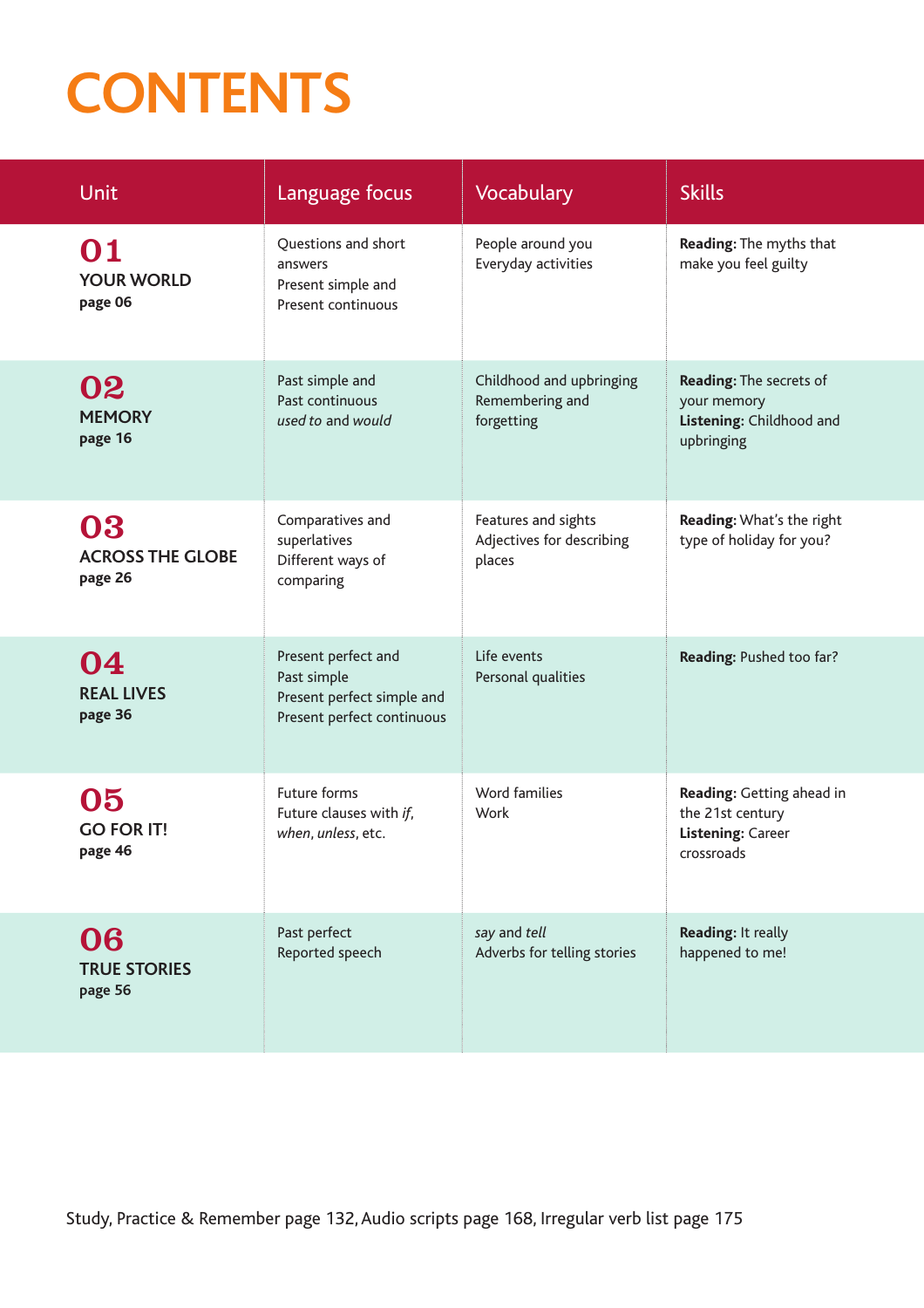## **CONTENTS**

| Unit                                     | Language focus                                                                                 | <b>Vocabulary</b>                                          | <b>Skills</b>                                                                    |
|------------------------------------------|------------------------------------------------------------------------------------------------|------------------------------------------------------------|----------------------------------------------------------------------------------|
| 01<br><b>YOUR WORLD</b><br>page 06       | Questions and short<br>answers<br>Present simple and<br>Present continuous                     | People around you<br>Everyday activities                   | Reading: The myths that<br>make you feel guilty                                  |
| 02<br><b>MEMORY</b><br>page 16           | Past simple and<br>Past continuous<br>used to and would                                        | Childhood and upbringing<br>Remembering and<br>forgetting  | Reading: The secrets of<br>your memory<br>Listening: Childhood and<br>upbringing |
| 03<br><b>ACROSS THE GLOBE</b><br>page 26 | Comparatives and<br>superlatives<br>Different ways of<br>comparing                             | Features and sights<br>Adjectives for describing<br>places | Reading: What's the right<br>type of holiday for you?                            |
| 04<br><b>REAL LIVES</b><br>page 36       | Present perfect and<br>Past simple<br>Present perfect simple and<br>Present perfect continuous | Life events<br>Personal qualities                          | Reading: Pushed too far?                                                         |
| 05<br><b>GO FOR IT!</b><br>page 46       | Future forms<br>Future clauses with if,<br>when, unless, etc.                                  | Word families<br>Work                                      | Reading: Getting ahead in<br>the 21st century<br>Listening: Career<br>crossroads |
| 06<br><b>TRUE STORIES</b><br>page 56     | Past perfect<br>Reported speech                                                                | say and tell<br>Adverbs for telling stories                | Reading: It really<br>happened to me!                                            |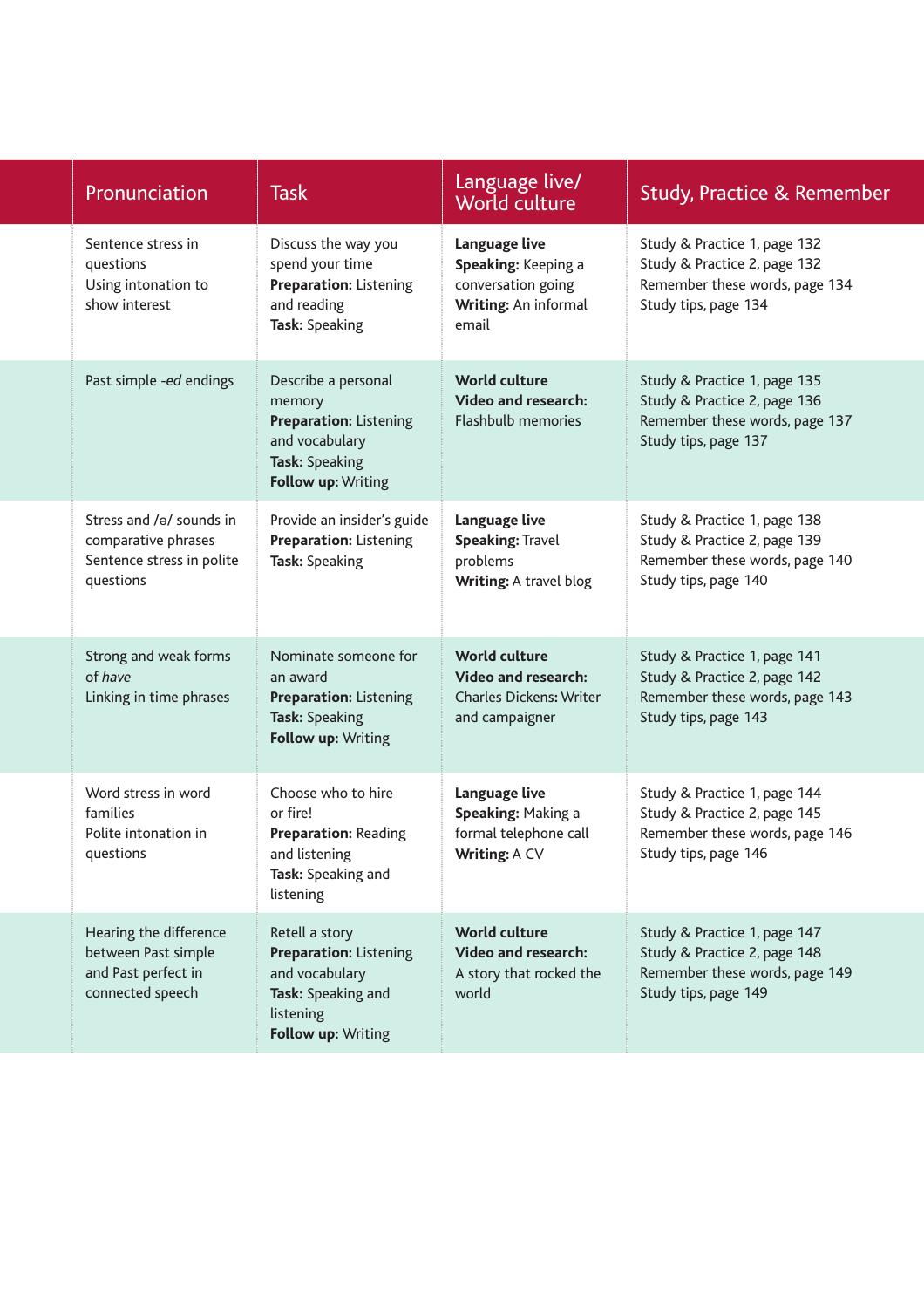| Pronunciation                                                                             | <b>Task</b>                                                                                                                | Language live/<br>World culture                                                                        | Study, Practice & Remember                                                                                             |
|-------------------------------------------------------------------------------------------|----------------------------------------------------------------------------------------------------------------------------|--------------------------------------------------------------------------------------------------------|------------------------------------------------------------------------------------------------------------------------|
| Sentence stress in<br>questions<br>Using intonation to<br>show interest                   | Discuss the way you<br>spend your time<br><b>Preparation: Listening</b><br>and reading<br>Task: Speaking                   | Language live<br>Speaking: Keeping a<br>conversation going<br>Writing: An informal<br>email            | Study & Practice 1, page 132<br>Study & Practice 2, page 132<br>Remember these words, page 134<br>Study tips, page 134 |
| Past simple -ed endings                                                                   | Describe a personal<br>memory<br><b>Preparation: Listening</b><br>and vocabulary<br>Task: Speaking<br>Follow up: Writing   | <b>World culture</b><br><b>Video and research:</b><br><b>Flashbulb memories</b>                        | Study & Practice 1, page 135<br>Study & Practice 2, page 136<br>Remember these words, page 137<br>Study tips, page 137 |
| Stress and /ə/ sounds in<br>comparative phrases<br>Sentence stress in polite<br>questions | Provide an insider's guide<br><b>Preparation: Listening</b><br>Task: Speaking                                              | Language live<br><b>Speaking: Travel</b><br>problems<br>Writing: A travel blog                         | Study & Practice 1, page 138<br>Study & Practice 2, page 139<br>Remember these words, page 140<br>Study tips, page 140 |
| Strong and weak forms<br>of have<br>Linking in time phrases                               | Nominate someone for<br>an award<br><b>Preparation: Listening</b><br>Task: Speaking<br>Follow up: Writing                  | <b>World culture</b><br><b>Video and research:</b><br><b>Charles Dickens: Writer</b><br>and campaigner | Study & Practice 1, page 141<br>Study & Practice 2, page 142<br>Remember these words, page 143<br>Study tips, page 143 |
| Word stress in word<br>families<br>Polite intonation in<br>questions                      | Choose who to hire<br>or fire!<br><b>Preparation: Reading</b><br>and listening<br>Task: Speaking and<br>listening          | Language live<br>Speaking: Making a<br>formal telephone call<br>Writing: A CV                          | Study & Practice 1, page 144<br>Study & Practice 2, page 145<br>Remember these words, page 146<br>Study tips, page 146 |
| Hearing the difference<br>between Past simple<br>and Past perfect in<br>connected speech  | Retell a story<br><b>Preparation: Listening</b><br>and vocabulary<br>Task: Speaking and<br>listening<br>Follow up: Writing | <b>World culture</b><br><b>Video and research:</b><br>A story that rocked the<br>world                 | Study & Practice 1, page 147<br>Study & Practice 2, page 148<br>Remember these words, page 149<br>Study tips, page 149 |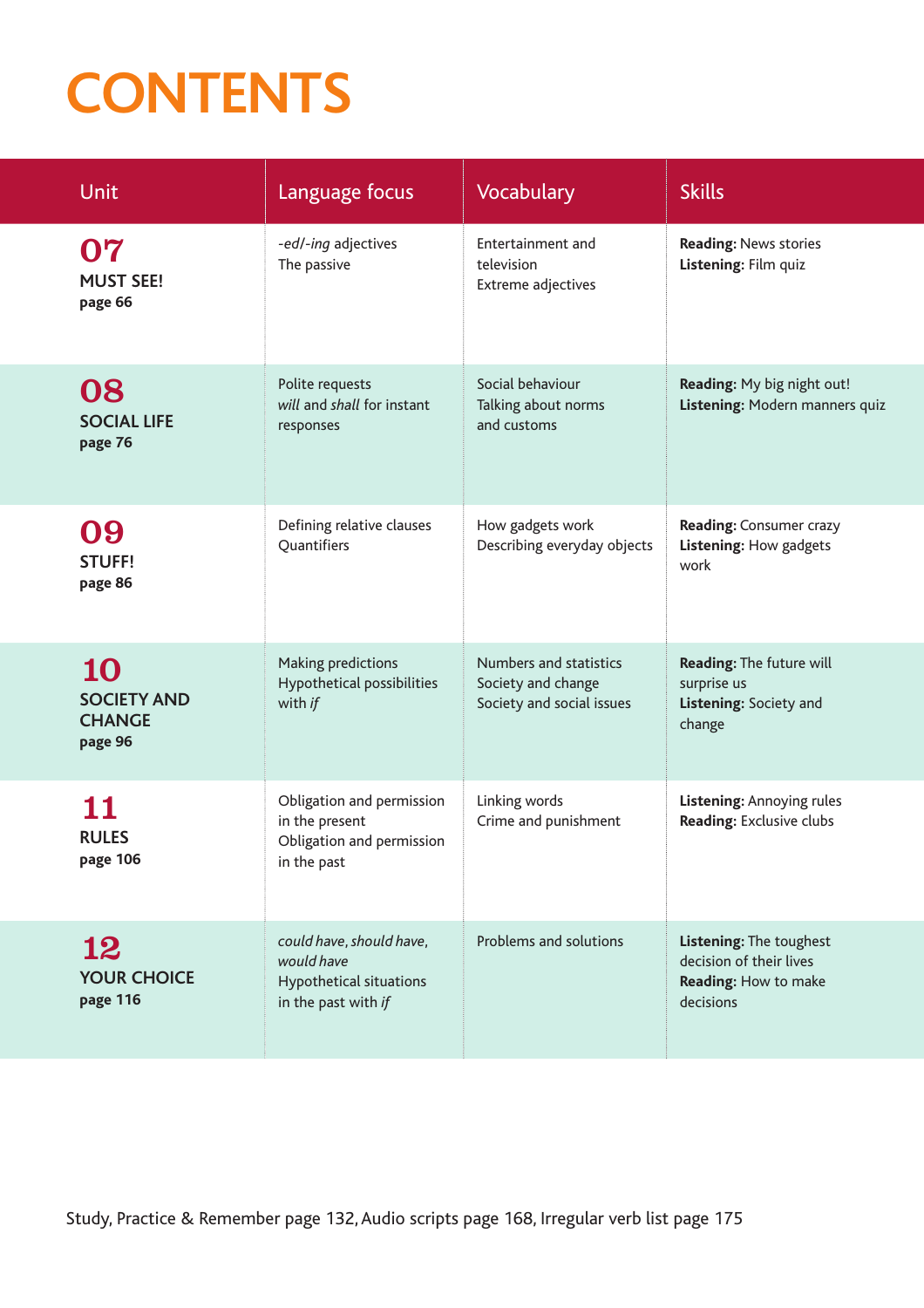## **CONTENTS**

| <b>Unit</b>                                          | Language focus                                                                           | <b>Vocabulary</b>                                                         | <b>Skills</b>                                                                           |
|------------------------------------------------------|------------------------------------------------------------------------------------------|---------------------------------------------------------------------------|-----------------------------------------------------------------------------------------|
| 07<br><b>MUST SEE!</b><br>page 66                    | -ed/-ing adjectives<br>The passive                                                       | Entertainment and<br>television<br>Extreme adjectives                     | <b>Reading: News stories</b><br>Listening: Film quiz                                    |
| 08<br><b>SOCIAL LIFE</b><br>page 76                  | Polite requests<br>will and shall for instant<br>responses                               | Social behaviour<br>Talking about norms<br>and customs                    | Reading: My big night out!<br>Listening: Modern manners quiz                            |
| 09<br><b>STUFF!</b><br>page 86                       | Defining relative clauses<br>Quantifiers                                                 | How gadgets work<br>Describing everyday objects                           | Reading: Consumer crazy<br>Listening: How gadgets<br>work                               |
| 10<br><b>SOCIETY AND</b><br><b>CHANGE</b><br>page 96 | Making predictions<br>Hypothetical possibilities<br>with if                              | Numbers and statistics<br>Society and change<br>Society and social issues | Reading: The future will<br>surprise us<br>Listening: Society and<br>change             |
| <b>RULES</b><br>page 106                             | Obligation and permission<br>in the present<br>Obligation and permission<br>in the past  | Linking words<br>Crime and punishment                                     | Listening: Annoying rules<br>Reading: Exclusive clubs                                   |
| 12<br><b>YOUR CHOICE</b><br>page 116                 | could have, should have,<br>would have<br>Hypothetical situations<br>in the past with if | Problems and solutions                                                    | Listening: The toughest<br>decision of their lives<br>Reading: How to make<br>decisions |